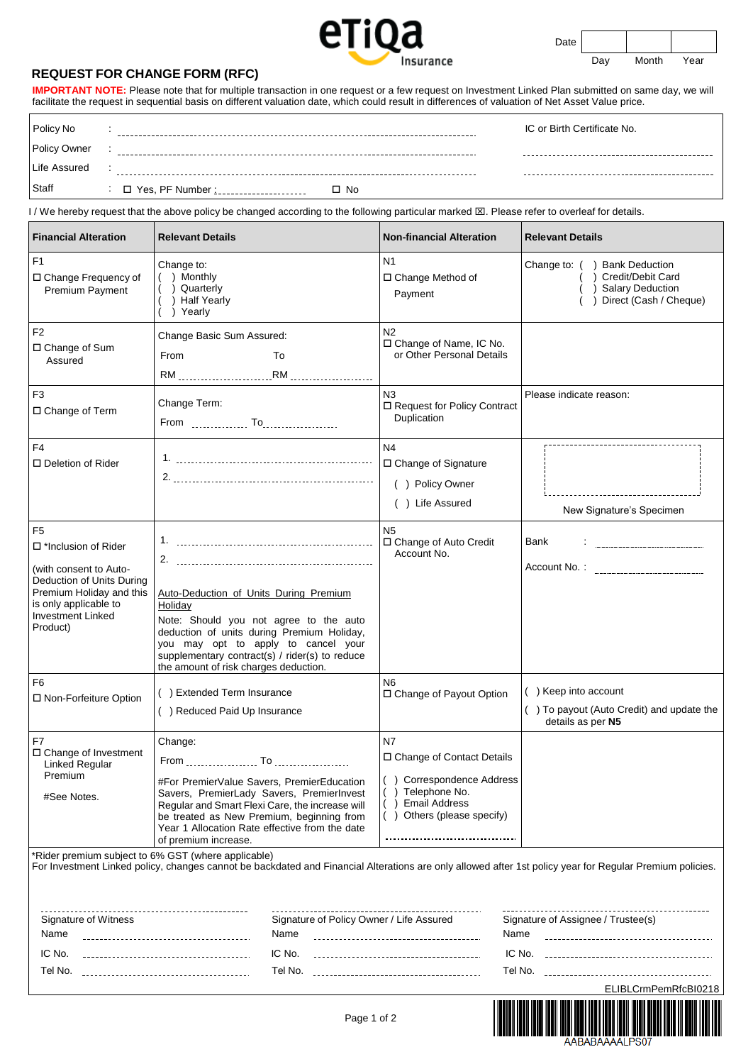

Date

Day Month Year

## **REQUEST FOR CHANGE FORM (RFC)**

 $\mathbf{r}$ 

**IMPORTANT NOTE:** Please note that for multiple transaction in one request or a few request on Investment Linked Plan submitted on same day, we will facilitate the request in sequential basis on different valuation date, which could result in differences of valuation of Net Asset Value price.

| Policy No    |                              | IC or Birth Certificate No. |
|--------------|------------------------------|-----------------------------|
| Policy Owner |                              |                             |
| Life Assured |                              |                             |
| Staff        | ∴ □ Yes, PF Number :<br>□ No |                             |

I / We hereby request that the above policy be changed according to the following particular marked  $\boxtimes$ . Please refer to overleaf for details.

| <b>Financial Alteration</b>                                                                                                                                                                      | <b>Relevant Details</b>                                                                                                                                                                                                                                                      | <b>Non-financial Alteration</b>                                                                                                                                                    | <b>Relevant Details</b>                                                                                   |
|--------------------------------------------------------------------------------------------------------------------------------------------------------------------------------------------------|------------------------------------------------------------------------------------------------------------------------------------------------------------------------------------------------------------------------------------------------------------------------------|------------------------------------------------------------------------------------------------------------------------------------------------------------------------------------|-----------------------------------------------------------------------------------------------------------|
| F1<br>□ Change Frequency of<br>Premium Payment                                                                                                                                                   | Change to:<br>() Monthly<br>() Quarterly<br>( ) Half Yearly<br>) Yearly                                                                                                                                                                                                      | N <sub>1</sub><br>□ Change Method of<br>Payment                                                                                                                                    | Change to: () Bank Deduction<br>( ) Credit/Debit Card<br>$($ ) Salary Deduction<br>Direct (Cash / Cheque) |
| F2<br>□ Change of Sum<br>Assured                                                                                                                                                                 | Change Basic Sum Assured:<br>From<br>To                                                                                                                                                                                                                                      | N <sub>2</sub><br>□ Change of Name, IC No.<br>or Other Personal Details                                                                                                            |                                                                                                           |
| F <sub>3</sub><br>□ Change of Term                                                                                                                                                               | Change Term:                                                                                                                                                                                                                                                                 | N3<br>□ Request for Policy Contract<br>Duplication                                                                                                                                 | Please indicate reason:                                                                                   |
| F <sub>4</sub><br>□ Deletion of Rider                                                                                                                                                            |                                                                                                                                                                                                                                                                              | N <sub>4</sub><br>□ Change of Signature<br>( ) Policy Owner<br>() Life Assured                                                                                                     | New Signature's Specimen                                                                                  |
| F <sub>5</sub><br>$\Box$ *Inclusion of Rider<br>(with consent to Auto-<br>Deduction of Units During<br>Premium Holiday and this<br>is only applicable to<br><b>Investment Linked</b><br>Product) | Auto-Deduction of Units During Premium<br>Holiday<br>Note: Should you not agree to the auto<br>deduction of units during Premium Holiday,<br>you may opt to apply to cancel your<br>supplementary contract(s) / rider(s) to reduce<br>the amount of risk charges deduction.  | N <sub>5</sub><br>□ Change of Auto Credit<br>Account No.                                                                                                                           | Bank<br>$\mathbf{I}$ . The contract of the contract of $\mathbf{I}$                                       |
| F <sub>6</sub><br>□ Non-Forfeiture Option                                                                                                                                                        | () Extended Term Insurance<br>() Reduced Paid Up Insurance                                                                                                                                                                                                                   | N <sub>6</sub><br>□ Change of Payout Option                                                                                                                                        | () Keep into account<br>() To payout (Auto Credit) and update the<br>details as per N5                    |
| F7<br>□ Change of Investment<br>Linked Regular<br>Premium<br>#See Notes.                                                                                                                         | Change:<br>#For PremierValue Savers, PremierEducation<br>Savers, PremierLady Savers, PremierInvest<br>Regular and Smart Flexi Care, the increase will<br>be treated as New Premium, beginning from<br>Year 1 Allocation Rate effective from the date<br>of premium increase. | <b>N7</b><br>□ Change of Contact Details<br>() Correspondence Address<br>() Telephone No.<br>() Email Address<br>() Others (please specify)<br>----------------------------------- |                                                                                                           |

\*Rider premium subject to 6% GST (where applicable)

For Investment Linked policy, changes cannot be backdated and Financial Alterations are only allowed after 1st policy year for Regular Premium policies.

| Signature of Witness | Signature of Policy Owner / Life Assured | Signature of Assignee / Trustee(s) |
|----------------------|------------------------------------------|------------------------------------|
| Name                 | Name                                     | Name                               |
| IC No.               | IC No.                                   | IC No.                             |
|                      |                                          |                                    |
| Tel No.              | Tel No.                                  | Tel No.                            |
|                      |                                          | ELIBLCrmPemRfcBI0218               |